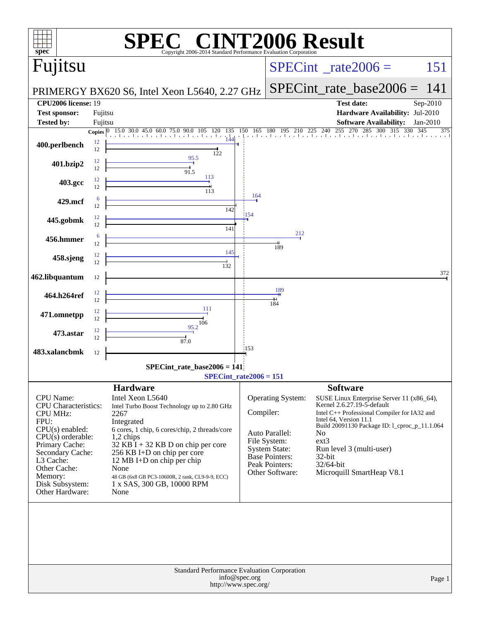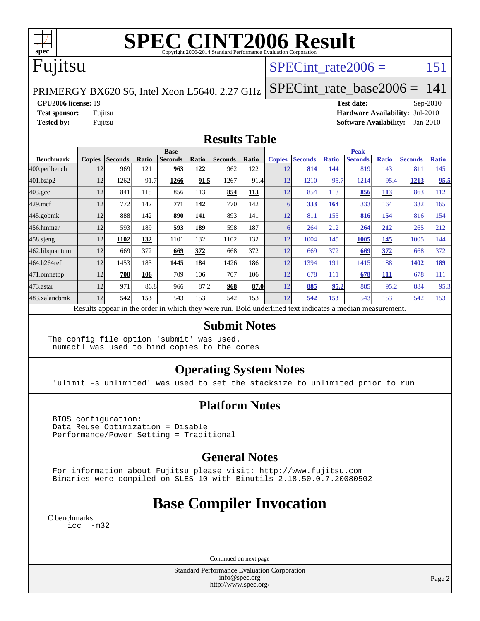

# **[SPEC CINT2006 Result](http://www.spec.org/auto/cpu2006/Docs/result-fields.html#SPECCINT2006Result)**

# Fujitsu

### SPECint rate $2006 = 151$

PRIMERGY BX620 S6, Intel Xeon L5640, 2.27 GHz

[SPECint\\_rate\\_base2006 =](http://www.spec.org/auto/cpu2006/Docs/result-fields.html#SPECintratebase2006) 141

#### **[CPU2006 license:](http://www.spec.org/auto/cpu2006/Docs/result-fields.html#CPU2006license)** 19 **[Test date:](http://www.spec.org/auto/cpu2006/Docs/result-fields.html#Testdate)** Sep-2010

**[Test sponsor:](http://www.spec.org/auto/cpu2006/Docs/result-fields.html#Testsponsor)** Fujitsu **[Hardware Availability:](http://www.spec.org/auto/cpu2006/Docs/result-fields.html#HardwareAvailability)** Jul-2010 **[Tested by:](http://www.spec.org/auto/cpu2006/Docs/result-fields.html#Testedby)** Fujitsu **[Software Availability:](http://www.spec.org/auto/cpu2006/Docs/result-fields.html#SoftwareAvailability)** Jan-2010

#### **[Results Table](http://www.spec.org/auto/cpu2006/Docs/result-fields.html#ResultsTable)**

|                    | <b>Base</b>                                                                                              |                |       |                |       |                |            |               | <b>Peak</b>    |              |                |              |                |              |  |
|--------------------|----------------------------------------------------------------------------------------------------------|----------------|-------|----------------|-------|----------------|------------|---------------|----------------|--------------|----------------|--------------|----------------|--------------|--|
| <b>Benchmark</b>   | <b>Copies</b>                                                                                            | <b>Seconds</b> | Ratio | <b>Seconds</b> | Ratio | <b>Seconds</b> | Ratio      | <b>Copies</b> | <b>Seconds</b> | <b>Ratio</b> | <b>Seconds</b> | <b>Ratio</b> | <b>Seconds</b> | <b>Ratio</b> |  |
| 400.perlbench      | 12                                                                                                       | 969            | 121   | 963            | 122   | 962            | 122        | 12            | 814            | 144          | 819            | 143          | 811            | 145          |  |
| 401.bzip2          | 12                                                                                                       | 1262           | 91.7  | 1266           | 91.5  | 1267           | 91.4       | 12            | 1210           | 95.7         | 1214           | 95.4         | 1213           | 95.5         |  |
| $403.\mathrm{gcc}$ | 12                                                                                                       | 841            | 115   | 856            | 113   | 854            | <b>113</b> | 12            | 854            | 113          | 856            | <b>113</b>   | 863            | 112          |  |
| $429$ .mcf         | 12                                                                                                       | 772            | 142   | 771            | 142   | 770            | 142        |               | 333            | 164          | 333            | 164          | 332            | 165          |  |
| 445.gobmk          | 12                                                                                                       | 888            | 142   | 890            | 141   | 893            | 141        | 12            | 811            | 155          | 816            | 154          | 816            | 154          |  |
| 456.hmmer          | 12                                                                                                       | 593            | 189   | 593            | 189   | 598            | 187        |               | 264            | 212          | 264            | 212          | 265            | 212          |  |
| 458.sjeng          | 12                                                                                                       | 1102           | 132   | 1101           | 132   | 1102           | 132        | 12            | 1004           | 145          | 1005           | 145          | 1005           | 144          |  |
| 462.libquantum     | 12                                                                                                       | 669            | 372   | 669            | 372   | 668            | 372        | 12            | 669            | 372          | 669            | 372          | 668            | 372          |  |
| 464.h264ref        | 12                                                                                                       | 1453           | 183   | 1445           | 184   | 1426           | 186        | 12            | 1394           | 191          | 1415           | 188          | 1402           | 189          |  |
| 471.omnetpp        | 12                                                                                                       | 708            | 106   | 709            | 106   | 707            | 106        | 12            | 678            | 111          | 678            | 111          | 678            | 111          |  |
| 473.astar          | 12                                                                                                       | 971            | 86.8  | 966            | 87.2  | 968            | 87.0       | 12            | 885            | 95.2         | 885            | 95.2         | 884            | 95.3         |  |
| 483.xalancbmk      | 12                                                                                                       | 542            | 153   | 543            | 153   | 542            | 153        | 12            | 542            | 153          | 543            | 153          | 542            | 153          |  |
|                    | Results appear in the order in which they were run. Bold underlined text indicates a median measurement. |                |       |                |       |                |            |               |                |              |                |              |                |              |  |

### **[Submit Notes](http://www.spec.org/auto/cpu2006/Docs/result-fields.html#SubmitNotes)**

The config file option 'submit' was used. numactl was used to bind copies to the cores

### **[Operating System Notes](http://www.spec.org/auto/cpu2006/Docs/result-fields.html#OperatingSystemNotes)**

'ulimit -s unlimited' was used to set the stacksize to unlimited prior to run

### **[Platform Notes](http://www.spec.org/auto/cpu2006/Docs/result-fields.html#PlatformNotes)**

 BIOS configuration: Data Reuse Optimization = Disable Performance/Power Setting = Traditional

### **[General Notes](http://www.spec.org/auto/cpu2006/Docs/result-fields.html#GeneralNotes)**

 For information about Fujitsu please visit: <http://www.fujitsu.com> Binaries were compiled on SLES 10 with Binutils 2.18.50.0.7.20080502

### **[Base Compiler Invocation](http://www.spec.org/auto/cpu2006/Docs/result-fields.html#BaseCompilerInvocation)**

[C benchmarks](http://www.spec.org/auto/cpu2006/Docs/result-fields.html#Cbenchmarks): [icc -m32](http://www.spec.org/cpu2006/results/res2010q3/cpu2006-20100913-13201.flags.html#user_CCbase_intel_icc_32bit_5ff4a39e364c98233615fdd38438c6f2)

Continued on next page

Standard Performance Evaluation Corporation [info@spec.org](mailto:info@spec.org) <http://www.spec.org/>

Page 2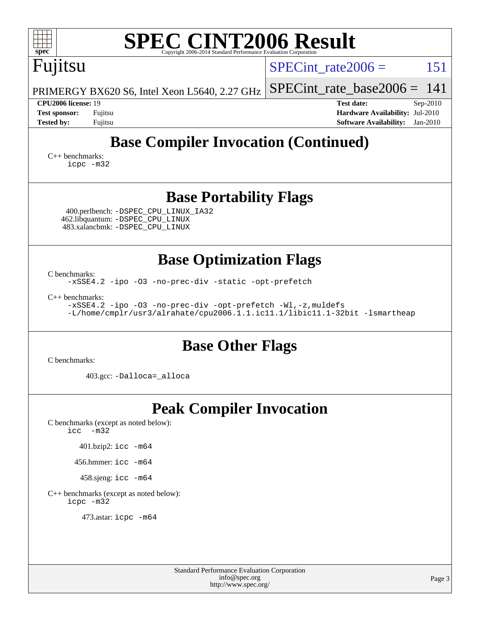| <b>SPEC CINT2006 Result</b><br>$spec^*$<br>Copyright 2006-2014 Standard Performance Evaluation Corporation                                                                                                                                                                    |                                                                                                                   |  |  |  |  |  |  |
|-------------------------------------------------------------------------------------------------------------------------------------------------------------------------------------------------------------------------------------------------------------------------------|-------------------------------------------------------------------------------------------------------------------|--|--|--|--|--|--|
| Fujitsu                                                                                                                                                                                                                                                                       | 151<br>$SPECint$ rate $2006 =$                                                                                    |  |  |  |  |  |  |
| PRIMERGY BX620 S6, Intel Xeon L5640, 2.27 GHz                                                                                                                                                                                                                                 | $SPECint_rate_base2006 =$<br>141                                                                                  |  |  |  |  |  |  |
| CPU2006 license: 19<br><b>Test sponsor:</b><br>Fujitsu<br><b>Tested by:</b><br>Fujitsu                                                                                                                                                                                        | <b>Test date:</b><br>$Sep-2010$<br>Hardware Availability: Jul-2010<br>$Jan-2010$<br><b>Software Availability:</b> |  |  |  |  |  |  |
| <b>Base Compiler Invocation (Continued)</b><br>$C_{++}$ benchmarks:<br>icpc -m32                                                                                                                                                                                              |                                                                                                                   |  |  |  |  |  |  |
| <b>Base Portability Flags</b>                                                                                                                                                                                                                                                 |                                                                                                                   |  |  |  |  |  |  |
| 400.perlbench: -DSPEC_CPU_LINUX_IA32<br>462.libquantum: - DSPEC_CPU_LINUX<br>483.xalancbmk: -DSPEC_CPU_LINUX                                                                                                                                                                  |                                                                                                                   |  |  |  |  |  |  |
| <b>Base Optimization Flags</b><br>C benchmarks:<br>-xSSE4.2 -ipo -03 -no-prec-div -static -opt-prefetch<br>$C_{++}$ benchmarks:<br>-xSSE4.2 -ipo -03 -no-prec-div -opt-prefetch -Wl,-z, muldefs<br>-L/home/cmplr/usr3/alrahate/cpu2006.1.1.ic11.1/libic11.1-32bit -lsmartheap |                                                                                                                   |  |  |  |  |  |  |
| <b>Base Other Flags</b><br>C benchmarks:                                                                                                                                                                                                                                      |                                                                                                                   |  |  |  |  |  |  |
| 403.gcc: -Dalloca=_alloca                                                                                                                                                                                                                                                     |                                                                                                                   |  |  |  |  |  |  |
| <b>Peak Compiler Invocation</b><br>C benchmarks (except as noted below):<br>$\text{icc}$ -m32<br>401.bzip2: icc -m64<br>456.hmmer: icc -m64<br>458.sjeng: icc -m64<br>C++ benchmarks (except as noted below):<br>icpc -m32<br>473.astar: icpc -m64                            |                                                                                                                   |  |  |  |  |  |  |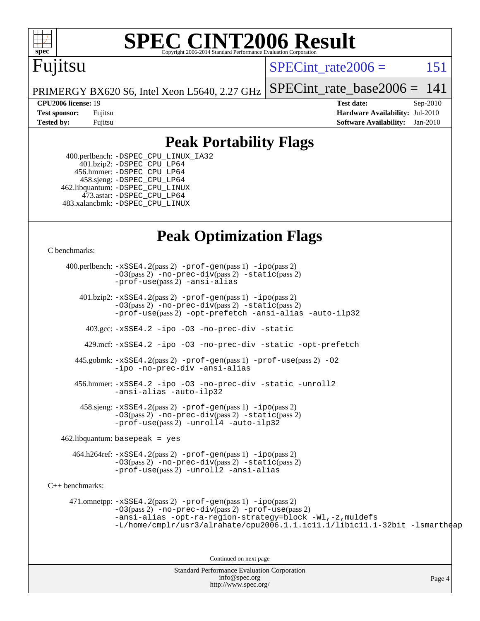

# **[SPEC CINT2006 Result](http://www.spec.org/auto/cpu2006/Docs/result-fields.html#SPECCINT2006Result)**

# Fujitsu

SPECint rate $2006 = 151$ 

PRIMERGY BX620 S6, Intel Xeon L5640, 2.27 GHz [SPECint\\_rate\\_base2006 =](http://www.spec.org/auto/cpu2006/Docs/result-fields.html#SPECintratebase2006)  $141$ 

**[CPU2006 license:](http://www.spec.org/auto/cpu2006/Docs/result-fields.html#CPU2006license)** 19 **[Test date:](http://www.spec.org/auto/cpu2006/Docs/result-fields.html#Testdate)** Sep-2010 **[Test sponsor:](http://www.spec.org/auto/cpu2006/Docs/result-fields.html#Testsponsor)** Fujitsu **[Hardware Availability:](http://www.spec.org/auto/cpu2006/Docs/result-fields.html#HardwareAvailability)** Jul-2010 **[Tested by:](http://www.spec.org/auto/cpu2006/Docs/result-fields.html#Testedby)** Fujitsu **[Software Availability:](http://www.spec.org/auto/cpu2006/Docs/result-fields.html#SoftwareAvailability)** Jan-2010

### **[Peak Portability Flags](http://www.spec.org/auto/cpu2006/Docs/result-fields.html#PeakPortabilityFlags)**

 400.perlbench: [-DSPEC\\_CPU\\_LINUX\\_IA32](http://www.spec.org/cpu2006/results/res2010q3/cpu2006-20100913-13201.flags.html#b400.perlbench_peakCPORTABILITY_DSPEC_CPU_LINUX_IA32) 401.bzip2: [-DSPEC\\_CPU\\_LP64](http://www.spec.org/cpu2006/results/res2010q3/cpu2006-20100913-13201.flags.html#suite_peakCPORTABILITY401_bzip2_DSPEC_CPU_LP64) 456.hmmer: [-DSPEC\\_CPU\\_LP64](http://www.spec.org/cpu2006/results/res2010q3/cpu2006-20100913-13201.flags.html#suite_peakCPORTABILITY456_hmmer_DSPEC_CPU_LP64) 458.sjeng: [-DSPEC\\_CPU\\_LP64](http://www.spec.org/cpu2006/results/res2010q3/cpu2006-20100913-13201.flags.html#suite_peakCPORTABILITY458_sjeng_DSPEC_CPU_LP64) 462.libquantum: [-DSPEC\\_CPU\\_LINUX](http://www.spec.org/cpu2006/results/res2010q3/cpu2006-20100913-13201.flags.html#b462.libquantum_peakCPORTABILITY_DSPEC_CPU_LINUX) 473.astar: [-DSPEC\\_CPU\\_LP64](http://www.spec.org/cpu2006/results/res2010q3/cpu2006-20100913-13201.flags.html#suite_peakCXXPORTABILITY473_astar_DSPEC_CPU_LP64) 483.xalancbmk: [-DSPEC\\_CPU\\_LINUX](http://www.spec.org/cpu2006/results/res2010q3/cpu2006-20100913-13201.flags.html#b483.xalancbmk_peakCXXPORTABILITY_DSPEC_CPU_LINUX)

### **[Peak Optimization Flags](http://www.spec.org/auto/cpu2006/Docs/result-fields.html#PeakOptimizationFlags)**

[C benchmarks](http://www.spec.org/auto/cpu2006/Docs/result-fields.html#Cbenchmarks):

Standard Performance Evaluation Corporation [info@spec.org](mailto:info@spec.org) <http://www.spec.org/> Page 4 400.perlbench: [-xSSE4.2](http://www.spec.org/cpu2006/results/res2010q3/cpu2006-20100913-13201.flags.html#user_peakPASS2_CFLAGSPASS2_LDCFLAGS400_perlbench_f-xSSE42_f91528193cf0b216347adb8b939d4107)(pass 2) [-prof-gen](http://www.spec.org/cpu2006/results/res2010q3/cpu2006-20100913-13201.flags.html#user_peakPASS1_CFLAGSPASS1_LDCFLAGS400_perlbench_prof_gen_e43856698f6ca7b7e442dfd80e94a8fc)(pass 1) [-ipo](http://www.spec.org/cpu2006/results/res2010q3/cpu2006-20100913-13201.flags.html#user_peakPASS2_CFLAGSPASS2_LDCFLAGS400_perlbench_f-ipo)(pass 2) [-O3](http://www.spec.org/cpu2006/results/res2010q3/cpu2006-20100913-13201.flags.html#user_peakPASS2_CFLAGSPASS2_LDCFLAGS400_perlbench_f-O3)(pass 2) [-no-prec-div](http://www.spec.org/cpu2006/results/res2010q3/cpu2006-20100913-13201.flags.html#user_peakPASS2_CFLAGSPASS2_LDCFLAGS400_perlbench_f-no-prec-div)(pass 2) [-static](http://www.spec.org/cpu2006/results/res2010q3/cpu2006-20100913-13201.flags.html#user_peakPASS2_CFLAGSPASS2_LDCFLAGS400_perlbench_f-static)(pass 2) [-prof-use](http://www.spec.org/cpu2006/results/res2010q3/cpu2006-20100913-13201.flags.html#user_peakPASS2_CFLAGSPASS2_LDCFLAGS400_perlbench_prof_use_bccf7792157ff70d64e32fe3e1250b55)(pass 2) [-ansi-alias](http://www.spec.org/cpu2006/results/res2010q3/cpu2006-20100913-13201.flags.html#user_peakCOPTIMIZE400_perlbench_f-ansi-alias) 401.bzip2: [-xSSE4.2](http://www.spec.org/cpu2006/results/res2010q3/cpu2006-20100913-13201.flags.html#user_peakPASS2_CFLAGSPASS2_LDCFLAGS401_bzip2_f-xSSE42_f91528193cf0b216347adb8b939d4107)(pass 2) [-prof-gen](http://www.spec.org/cpu2006/results/res2010q3/cpu2006-20100913-13201.flags.html#user_peakPASS1_CFLAGSPASS1_LDCFLAGS401_bzip2_prof_gen_e43856698f6ca7b7e442dfd80e94a8fc)(pass 1) [-ipo](http://www.spec.org/cpu2006/results/res2010q3/cpu2006-20100913-13201.flags.html#user_peakPASS2_CFLAGSPASS2_LDCFLAGS401_bzip2_f-ipo)(pass 2) [-O3](http://www.spec.org/cpu2006/results/res2010q3/cpu2006-20100913-13201.flags.html#user_peakPASS2_CFLAGSPASS2_LDCFLAGS401_bzip2_f-O3)(pass 2) [-no-prec-div](http://www.spec.org/cpu2006/results/res2010q3/cpu2006-20100913-13201.flags.html#user_peakPASS2_CFLAGSPASS2_LDCFLAGS401_bzip2_f-no-prec-div)(pass 2) [-static](http://www.spec.org/cpu2006/results/res2010q3/cpu2006-20100913-13201.flags.html#user_peakPASS2_CFLAGSPASS2_LDCFLAGS401_bzip2_f-static)(pass 2) [-prof-use](http://www.spec.org/cpu2006/results/res2010q3/cpu2006-20100913-13201.flags.html#user_peakPASS2_CFLAGSPASS2_LDCFLAGS401_bzip2_prof_use_bccf7792157ff70d64e32fe3e1250b55)(pass 2) [-opt-prefetch](http://www.spec.org/cpu2006/results/res2010q3/cpu2006-20100913-13201.flags.html#user_peakCOPTIMIZE401_bzip2_f-opt-prefetch) [-ansi-alias](http://www.spec.org/cpu2006/results/res2010q3/cpu2006-20100913-13201.flags.html#user_peakCOPTIMIZE401_bzip2_f-ansi-alias) [-auto-ilp32](http://www.spec.org/cpu2006/results/res2010q3/cpu2006-20100913-13201.flags.html#user_peakCOPTIMIZE401_bzip2_f-auto-ilp32) 403.gcc: [-xSSE4.2](http://www.spec.org/cpu2006/results/res2010q3/cpu2006-20100913-13201.flags.html#user_peakCOPTIMIZE403_gcc_f-xSSE42_f91528193cf0b216347adb8b939d4107) [-ipo](http://www.spec.org/cpu2006/results/res2010q3/cpu2006-20100913-13201.flags.html#user_peakCOPTIMIZE403_gcc_f-ipo) [-O3](http://www.spec.org/cpu2006/results/res2010q3/cpu2006-20100913-13201.flags.html#user_peakCOPTIMIZE403_gcc_f-O3) [-no-prec-div](http://www.spec.org/cpu2006/results/res2010q3/cpu2006-20100913-13201.flags.html#user_peakCOPTIMIZE403_gcc_f-no-prec-div) [-static](http://www.spec.org/cpu2006/results/res2010q3/cpu2006-20100913-13201.flags.html#user_peakCOPTIMIZE403_gcc_f-static) 429.mcf: [-xSSE4.2](http://www.spec.org/cpu2006/results/res2010q3/cpu2006-20100913-13201.flags.html#user_peakCOPTIMIZE429_mcf_f-xSSE42_f91528193cf0b216347adb8b939d4107) [-ipo](http://www.spec.org/cpu2006/results/res2010q3/cpu2006-20100913-13201.flags.html#user_peakCOPTIMIZE429_mcf_f-ipo) [-O3](http://www.spec.org/cpu2006/results/res2010q3/cpu2006-20100913-13201.flags.html#user_peakCOPTIMIZE429_mcf_f-O3) [-no-prec-div](http://www.spec.org/cpu2006/results/res2010q3/cpu2006-20100913-13201.flags.html#user_peakCOPTIMIZE429_mcf_f-no-prec-div) [-static](http://www.spec.org/cpu2006/results/res2010q3/cpu2006-20100913-13201.flags.html#user_peakCOPTIMIZE429_mcf_f-static) [-opt-prefetch](http://www.spec.org/cpu2006/results/res2010q3/cpu2006-20100913-13201.flags.html#user_peakCOPTIMIZE429_mcf_f-opt-prefetch) 445.gobmk: [-xSSE4.2](http://www.spec.org/cpu2006/results/res2010q3/cpu2006-20100913-13201.flags.html#user_peakPASS2_CFLAGSPASS2_LDCFLAGS445_gobmk_f-xSSE42_f91528193cf0b216347adb8b939d4107)(pass 2) [-prof-gen](http://www.spec.org/cpu2006/results/res2010q3/cpu2006-20100913-13201.flags.html#user_peakPASS1_CFLAGSPASS1_LDCFLAGS445_gobmk_prof_gen_e43856698f6ca7b7e442dfd80e94a8fc)(pass 1) [-prof-use](http://www.spec.org/cpu2006/results/res2010q3/cpu2006-20100913-13201.flags.html#user_peakPASS2_CFLAGSPASS2_LDCFLAGS445_gobmk_prof_use_bccf7792157ff70d64e32fe3e1250b55)(pass 2) [-O2](http://www.spec.org/cpu2006/results/res2010q3/cpu2006-20100913-13201.flags.html#user_peakCOPTIMIZE445_gobmk_f-O2) [-ipo](http://www.spec.org/cpu2006/results/res2010q3/cpu2006-20100913-13201.flags.html#user_peakCOPTIMIZE445_gobmk_f-ipo) [-no-prec-div](http://www.spec.org/cpu2006/results/res2010q3/cpu2006-20100913-13201.flags.html#user_peakCOPTIMIZE445_gobmk_f-no-prec-div) [-ansi-alias](http://www.spec.org/cpu2006/results/res2010q3/cpu2006-20100913-13201.flags.html#user_peakCOPTIMIZE445_gobmk_f-ansi-alias) 456.hmmer: [-xSSE4.2](http://www.spec.org/cpu2006/results/res2010q3/cpu2006-20100913-13201.flags.html#user_peakCOPTIMIZE456_hmmer_f-xSSE42_f91528193cf0b216347adb8b939d4107) [-ipo](http://www.spec.org/cpu2006/results/res2010q3/cpu2006-20100913-13201.flags.html#user_peakCOPTIMIZE456_hmmer_f-ipo) [-O3](http://www.spec.org/cpu2006/results/res2010q3/cpu2006-20100913-13201.flags.html#user_peakCOPTIMIZE456_hmmer_f-O3) [-no-prec-div](http://www.spec.org/cpu2006/results/res2010q3/cpu2006-20100913-13201.flags.html#user_peakCOPTIMIZE456_hmmer_f-no-prec-div) [-static](http://www.spec.org/cpu2006/results/res2010q3/cpu2006-20100913-13201.flags.html#user_peakCOPTIMIZE456_hmmer_f-static) [-unroll2](http://www.spec.org/cpu2006/results/res2010q3/cpu2006-20100913-13201.flags.html#user_peakCOPTIMIZE456_hmmer_f-unroll_784dae83bebfb236979b41d2422d7ec2) [-ansi-alias](http://www.spec.org/cpu2006/results/res2010q3/cpu2006-20100913-13201.flags.html#user_peakCOPTIMIZE456_hmmer_f-ansi-alias) [-auto-ilp32](http://www.spec.org/cpu2006/results/res2010q3/cpu2006-20100913-13201.flags.html#user_peakCOPTIMIZE456_hmmer_f-auto-ilp32)  $458 \text{.}$  sjeng:  $-xSSE4$ .  $2(\text{pass 2})$  -prof-qen(pass 1) [-ipo](http://www.spec.org/cpu2006/results/res2010q3/cpu2006-20100913-13201.flags.html#user_peakPASS2_CFLAGSPASS2_LDCFLAGS458_sjeng_f-ipo)(pass 2) [-O3](http://www.spec.org/cpu2006/results/res2010q3/cpu2006-20100913-13201.flags.html#user_peakPASS2_CFLAGSPASS2_LDCFLAGS458_sjeng_f-O3)(pass 2) [-no-prec-div](http://www.spec.org/cpu2006/results/res2010q3/cpu2006-20100913-13201.flags.html#user_peakPASS2_CFLAGSPASS2_LDCFLAGS458_sjeng_f-no-prec-div)(pass 2) [-static](http://www.spec.org/cpu2006/results/res2010q3/cpu2006-20100913-13201.flags.html#user_peakPASS2_CFLAGSPASS2_LDCFLAGS458_sjeng_f-static)(pass 2) [-prof-use](http://www.spec.org/cpu2006/results/res2010q3/cpu2006-20100913-13201.flags.html#user_peakPASS2_CFLAGSPASS2_LDCFLAGS458_sjeng_prof_use_bccf7792157ff70d64e32fe3e1250b55)(pass 2) [-unroll4](http://www.spec.org/cpu2006/results/res2010q3/cpu2006-20100913-13201.flags.html#user_peakCOPTIMIZE458_sjeng_f-unroll_4e5e4ed65b7fd20bdcd365bec371b81f) [-auto-ilp32](http://www.spec.org/cpu2006/results/res2010q3/cpu2006-20100913-13201.flags.html#user_peakCOPTIMIZE458_sjeng_f-auto-ilp32)  $462$ .libquantum: basepeak = yes 464.h264ref: [-xSSE4.2](http://www.spec.org/cpu2006/results/res2010q3/cpu2006-20100913-13201.flags.html#user_peakPASS2_CFLAGSPASS2_LDCFLAGS464_h264ref_f-xSSE42_f91528193cf0b216347adb8b939d4107)(pass 2) [-prof-gen](http://www.spec.org/cpu2006/results/res2010q3/cpu2006-20100913-13201.flags.html#user_peakPASS1_CFLAGSPASS1_LDCFLAGS464_h264ref_prof_gen_e43856698f6ca7b7e442dfd80e94a8fc)(pass 1) [-ipo](http://www.spec.org/cpu2006/results/res2010q3/cpu2006-20100913-13201.flags.html#user_peakPASS2_CFLAGSPASS2_LDCFLAGS464_h264ref_f-ipo)(pass 2) [-O3](http://www.spec.org/cpu2006/results/res2010q3/cpu2006-20100913-13201.flags.html#user_peakPASS2_CFLAGSPASS2_LDCFLAGS464_h264ref_f-O3)(pass 2) [-no-prec-div](http://www.spec.org/cpu2006/results/res2010q3/cpu2006-20100913-13201.flags.html#user_peakPASS2_CFLAGSPASS2_LDCFLAGS464_h264ref_f-no-prec-div)(pass 2) [-static](http://www.spec.org/cpu2006/results/res2010q3/cpu2006-20100913-13201.flags.html#user_peakPASS2_CFLAGSPASS2_LDCFLAGS464_h264ref_f-static)(pass 2) [-prof-use](http://www.spec.org/cpu2006/results/res2010q3/cpu2006-20100913-13201.flags.html#user_peakPASS2_CFLAGSPASS2_LDCFLAGS464_h264ref_prof_use_bccf7792157ff70d64e32fe3e1250b55)(pass 2) [-unroll2](http://www.spec.org/cpu2006/results/res2010q3/cpu2006-20100913-13201.flags.html#user_peakCOPTIMIZE464_h264ref_f-unroll_784dae83bebfb236979b41d2422d7ec2) [-ansi-alias](http://www.spec.org/cpu2006/results/res2010q3/cpu2006-20100913-13201.flags.html#user_peakCOPTIMIZE464_h264ref_f-ansi-alias) [C++ benchmarks:](http://www.spec.org/auto/cpu2006/Docs/result-fields.html#CXXbenchmarks) 471.omnetpp: [-xSSE4.2](http://www.spec.org/cpu2006/results/res2010q3/cpu2006-20100913-13201.flags.html#user_peakPASS2_CXXFLAGSPASS2_LDCXXFLAGS471_omnetpp_f-xSSE42_f91528193cf0b216347adb8b939d4107)(pass 2) [-prof-gen](http://www.spec.org/cpu2006/results/res2010q3/cpu2006-20100913-13201.flags.html#user_peakPASS1_CXXFLAGSPASS1_LDCXXFLAGS471_omnetpp_prof_gen_e43856698f6ca7b7e442dfd80e94a8fc)(pass 1) [-ipo](http://www.spec.org/cpu2006/results/res2010q3/cpu2006-20100913-13201.flags.html#user_peakPASS2_CXXFLAGSPASS2_LDCXXFLAGS471_omnetpp_f-ipo)(pass 2) [-O3](http://www.spec.org/cpu2006/results/res2010q3/cpu2006-20100913-13201.flags.html#user_peakPASS2_CXXFLAGSPASS2_LDCXXFLAGS471_omnetpp_f-O3)(pass 2) [-no-prec-div](http://www.spec.org/cpu2006/results/res2010q3/cpu2006-20100913-13201.flags.html#user_peakPASS2_CXXFLAGSPASS2_LDCXXFLAGS471_omnetpp_f-no-prec-div)(pass 2) [-prof-use](http://www.spec.org/cpu2006/results/res2010q3/cpu2006-20100913-13201.flags.html#user_peakPASS2_CXXFLAGSPASS2_LDCXXFLAGS471_omnetpp_prof_use_bccf7792157ff70d64e32fe3e1250b55)(pass 2) [-ansi-alias](http://www.spec.org/cpu2006/results/res2010q3/cpu2006-20100913-13201.flags.html#user_peakCXXOPTIMIZE471_omnetpp_f-ansi-alias) [-opt-ra-region-strategy=block](http://www.spec.org/cpu2006/results/res2010q3/cpu2006-20100913-13201.flags.html#user_peakCXXOPTIMIZE471_omnetpp_f-opt-ra-region-strategy-block_a0a37c372d03933b2a18d4af463c1f69) [-Wl,-z,muldefs](http://www.spec.org/cpu2006/results/res2010q3/cpu2006-20100913-13201.flags.html#user_peakEXTRA_LDFLAGS471_omnetpp_link_force_multiple1_74079c344b956b9658436fd1b6dd3a8a) [-L/home/cmplr/usr3/alrahate/cpu2006.1.1.ic11.1/libic11.1-32bit -lsmartheap](http://www.spec.org/cpu2006/results/res2010q3/cpu2006-20100913-13201.flags.html#user_peakEXTRA_LIBS471_omnetpp_SmartHeap_d86dffe4a79b79ef8890d5cce17030c3) Continued on next page